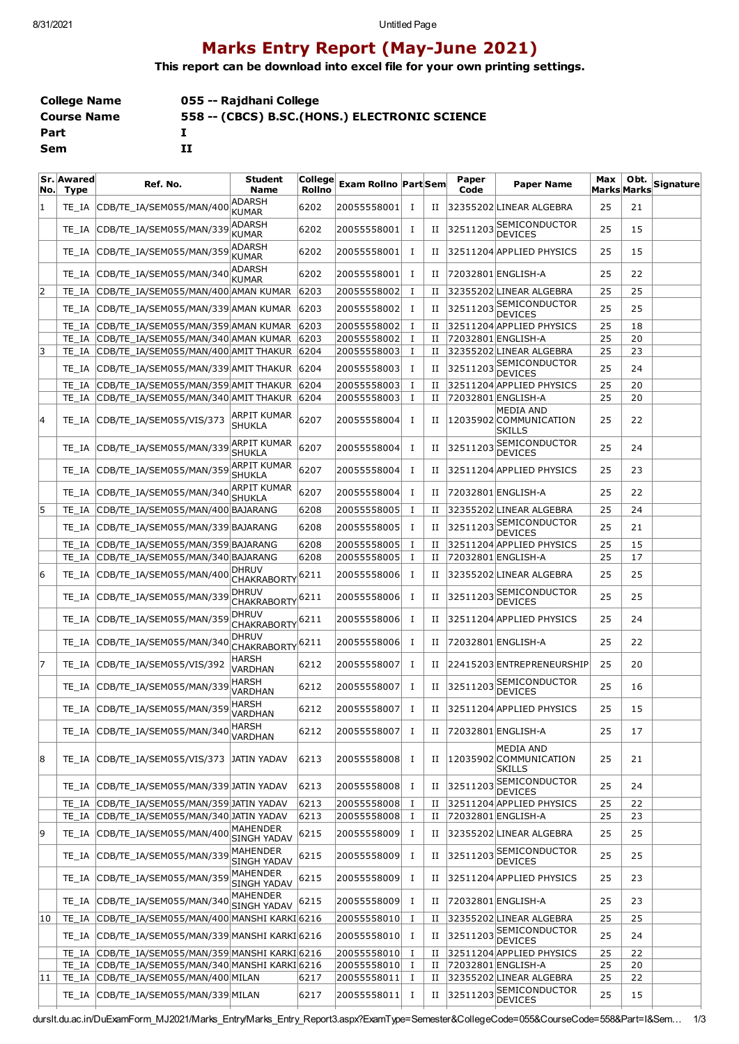## **Marks Entry Report (May-June 2021)**

**This report can be download into excel file for your own printing settings.**

| College Name       | 055 -- Rajdhani College                        |
|--------------------|------------------------------------------------|
| <b>Course Name</b> | 558 -- (CBCS) B.SC. (HONS.) ELECTRONIC SCIENCE |
| Part               |                                                |
| Sem                | 11                                             |

| N٥. | Sr. Awared<br><b>Type</b> | Ref. No.                                         | <b>Student</b><br><b>Name</b>               | <b>College</b><br><b>Rollno</b> | <b>Exam Rollno Part Sem</b> |          |   | Paper<br>Code | <b>Paper Name</b>                                           | Max<br>Marks Marks | Obt. | Signature |
|-----|---------------------------|--------------------------------------------------|---------------------------------------------|---------------------------------|-----------------------------|----------|---|---------------|-------------------------------------------------------------|--------------------|------|-----------|
| 1   | TE IA                     | CDB/TE IA/SEM055/MAN/400                         | <b>ADARSH</b><br><b>KUMAR</b>               | 6202                            | 20055558001                 | Ι.       | н |               | 32355202LINEAR ALGEBRA                                      | 25                 | 21   |           |
|     | TE IA                     | CDB/TE IA/SEM055/MAN/339                         | ADARSH<br><b>KUMAR</b>                      | 6202                            | 20055558001                 | Ι.       | П | 32511203      | <b>SEMICONDUCTOR</b><br><b>DEVICES</b>                      | 25                 | 15   |           |
|     | TE IA                     | CDB/TE IA/SEM055/MAN/359                         | <b>ADARSH</b><br><b>KUMAR</b>               | 6202                            | 20055558001                 | Ι.       | П |               | 32511204 APPLIED PHYSICS                                    | 25                 | 15   |           |
|     | TE IA                     | CDB/TE IA/SEM055/MAN/340                         | ADARSH<br><b>KUMAR</b>                      | 6202                            | 20055558001                 | Ι.       | П |               | 72032801 ENGLISH-A                                          | 25                 | 22   |           |
| 2   |                           | TE_IA CDB/TE_IA/SEM055/MAN/400 AMAN KUMAR        |                                             | 6203                            | 20055558002                 | 1        | и |               | 32355202LINEAR ALGEBRA                                      | 25                 | 25   |           |
|     | TE IA                     | CDB/TE IA/SEM055/MAN/339 AMAN KUMAR              |                                             | 6203                            | 20055558002                 | Ι.       | и | 32511203      | <b>SEMICONDUCTOR</b><br><b>DEVICES</b>                      | 25                 | 25   |           |
|     | TE IA                     | CDB/TE IA/SEM055/MAN/359 AMAN KUMAR              |                                             | 6203                            | 20055558002                 | Ι.       | и |               | 32511204 APPLIED PHYSICS                                    | 25                 | 18   |           |
|     |                           | TE IA CDB/TE IA/SEM055/MAN/340 AMAN KUMAR        |                                             | 6203                            | 20055558002                 | Ι.       | П |               | 72032801 ENGLISH-A                                          | 25                 | 20   |           |
| 3   |                           | TE IA CDB/TE IA/SEM055/MAN/400 AMIT THAKUR       |                                             | 6204                            | 20055558003                 | Ι.       | П |               | 32355202LINEAR ALGEBRA                                      | 25                 | 23   |           |
|     | TE IA                     | CDB/TE IA/SEM055/MAN/339 AMIT THAKUR             |                                             | 6204                            | 20055558003                 | Ι.       | и | 32511203      | <b>SEMICONDUCTOR</b><br><b>DEVICES</b>                      | 25                 | 24   |           |
|     | TE IA                     | CDB/TE IA/SEM055/MAN/359 AMIT THAKUR 6204        |                                             |                                 | 20055558003                 | 1        | и |               | 32511204 APPLIED PHYSICS                                    | 25                 | 20   |           |
|     | TE IA                     | CDB/TE IA/SEM055/MAN/340 AMIT THAKUR             |                                             | 6204                            | 20055558003                 | Ι.       | П |               | 72032801 ENGLISH-A                                          | 25                 | 20   |           |
| 14  | TE IA                     | CDB/TE IA/SEM055/VIS/373                         | ARPIT KUMAR<br><b>SHUKLA</b>                | 6207                            | 20055558004                 | <b>I</b> | и |               | <b>MEDIA AND</b><br>12035902 COMMUNICATION<br><b>SKILLS</b> | 25                 | 22   |           |
|     | TE IA                     | CDB/TE_IA/SEM055/MAN/339                         | ARPIT KUMAR<br>SHUKLA                       | 6207                            | 20055558004                 | Ι.       | П | 32511203      | SEMICONDUCTOR<br><b>DEVICES</b>                             | 25                 | 24   |           |
|     | TE IA                     | CDB/TE_IA/SEM055/MAN/359                         | <b>ARPIT KUMAR</b><br><b>SHUKLA</b>         | 6207                            | 20055558004                 | 1        | н |               | 32511204 APPLIED PHYSICS                                    | 25                 | 23   |           |
|     | TE IA                     | CDB/TE IA/SEM055/MAN/340                         | ARPIT KUMAR<br>SHUKLA                       | 6207                            | 20055558004                 | Ι.       | П |               | 72032801 ENGLISH-A                                          | 25                 | 22   |           |
| 5   | TE IA                     | CDB/TE IA/SEM055/MAN/400 BAJARANG                |                                             | 6208                            | 20055558005                 | 1        | и |               | 32355202LINEAR ALGEBRA                                      | 25                 | 24   |           |
|     | TE IA                     | CDB/TE_IA/SEM055/MAN/339 BAJARANG                |                                             | 6208                            | 20055558005                 | $\bf{I}$ | и |               | 32511203 SEMICONDUCTOR<br><b>DEVICES</b>                    | 25                 | 21   |           |
|     | TE IA                     | CDB/TE_IA/SEM055/MAN/359 BAJARANG                |                                             | 6208                            | 20055558005                 | 1        | и |               | 32511204 APPLIED PHYSICS                                    | 25                 | 15   |           |
|     | TE IA                     | CDB/TE_IA/SEM055/MAN/340 BAJARANG                |                                             | 6208                            | 20055558005                 | 1        | П |               | 72032801 ENGLISH-A                                          | 25                 | 17   |           |
| 6   | TE IA                     | CDB/TE IA/SEM055/MAN/400                         | Dhruv<br><b>CHAKRABORTY</b>                 | 6211                            | 20055558006                 | Ι.       | П |               | 32355202 LINEAR ALGEBRA                                     | 25                 | 25   |           |
|     | TE IA                     | CDB/TE_IA/SEM055/MAN/339                         | <b>DHRUV</b><br>CHAKRABORTY <sup>6211</sup> |                                 | 20055558006                 | Ι.       | н | 32511203      | <b>SEMICONDUCTOR</b><br><b>DEVICES</b>                      | 25                 | 25   |           |
|     | TE IA                     | CDB/TE_IA/SEM055/MAN/359                         | <b>DHRUV</b><br><b>CHAKRABORTY</b>          | 6211                            | 20055558006                 | Ι.       | н |               | 32511204 APPLIED PHYSICS                                    | 25                 | 24   |           |
|     | TE IA                     | CDB/TE_IA/SEM055/MAN/340                         | <b>DHRUV</b><br><b>CHAKRABORTY</b>          | 6211                            | 20055558006                 | Ι.       | н |               | 72032801 ENGLISH-A                                          | 25                 | 22   |           |
| 17  | TE IA                     | CDB/TE_IA/SEM055/VIS/392                         | HARSH<br>VARDHAN                            | 6212                            | 20055558007                 | Ι.       | н |               | 22415203 ENTREPRENEURSHIP                                   | 25                 | 20   |           |
|     | TE IA                     | CDB/TE IA/SEM055/MAN/339                         | <b>HARSH</b><br>VARDHAN                     | 6212                            | 20055558007                 | Ι.       | П | 32511203      | SEMICONDUCTOR<br><b>DEVICES</b>                             | 25                 | 16   |           |
|     | TE IA                     | CDB/TE IA/SEM055/MAN/359                         | <b>HARSH</b><br>VARDHAN                     | 6212                            | 20055558007                 | 1        | П |               | 32511204 APPLIED PHYSICS                                    | 25                 | 15   |           |
|     |                           | TE_IA CDB/TE_IA/SEM055/MAN/340                   | <b>HARSH</b><br><b>VARDHAN</b>              | 6212                            | 20055558007                 |          |   |               | II 72032801 ENGLISH-A                                       | 25                 | 17   |           |
| 8   | TE IA                     | CDB/TE_IA/SEM055/VIS/373 JATIN YADAV             |                                             | 6213                            | 20055558008                 | Ι.       | П |               | MEDIA AND<br>12035902 COMMUNICATION<br><b>SKILLS</b>        | 25                 | 21   |           |
|     | TE IA                     | CDB/TE_IA/SEM055/MAN/339 JATIN YADAV             |                                             | 6213                            | 20055558008                 | Ι.       | П |               | 32511203 SEMICONDUCTOR<br><b>DEVICES</b>                    | 25                 | 24   |           |
|     |                           | TE_IA CDB/TE_IA/SEM055/MAN/359 JATIN YADAV       |                                             | 6213                            | 20055558008                 | Ι.       | и |               | 32511204 APPLIED PHYSICS                                    | 25                 | 22   |           |
|     | TE IA                     | CDB/TE IA/SEM055/MAN/340 JATIN YADAV             |                                             | 6213                            | 20055558008                 | Ι.       | П |               | 72032801 ENGLISH-A                                          | 25                 | 23   |           |
| 9   | TE IA                     | CDB/TE_IA/SEM055/MAN/400                         | MAHENDER<br>SINGH YADAV                     | 6215                            | 20055558009                 | Ι.       | П |               | 32355202 LINEAR ALGEBRA                                     | 25                 | 25   |           |
|     | TE IA                     | CDB/TE_IA/SEM055/MAN/339                         | MAHENDER<br><b>SINGH YADAV</b>              | 6215                            | 20055558009                 | Ι.       | П | 32511203      | SEMICONDUCTOR<br><b>DEVICES</b>                             | 25                 | 25   |           |
|     | TE IA                     | CDB/TE_IA/SEM055/MAN/359                         | MAHENDER<br><b>SINGH YADAV</b>              | 6215                            | 20055558009                 | 1        | П |               | 32511204 APPLIED PHYSICS                                    | 25                 | 23   |           |
|     | TE IA                     | CDB/TE_IA/SEM055/MAN/340                         | MAHENDER<br><b>SINGH YADAV</b>              | 6215                            | 20055558009                 | Ι.       | и |               | 72032801 ENGLISH-A                                          | 25                 | 23   |           |
| 10  | TE IA                     | CDB/TE IA/SEM055/MAN/400 MANSHI KARKI 6216       |                                             |                                 | 20055558010                 | Ι.       | и |               | 32355202 LINEAR ALGEBRA                                     | 25                 | 25   |           |
|     | TE IA                     | CDB/TE_IA/SEM055/MAN/339 MANSHI KARKI 6216       |                                             |                                 | 20055558010                 | Ι.       | и |               | 32511203 SEMICONDUCTOR<br><b>DEVICES</b>                    | 25                 | 24   |           |
|     |                           | TE_IA CDB/TE_IA/SEM055/MAN/359 MANSHI KARKI 6216 |                                             |                                 | 20055558010                 | Ι.       | и |               | 32511204 APPLIED PHYSICS                                    | 25                 | 22   |           |
|     |                           | TE_IA CDB/TE_IA/SEM055/MAN/340 MANSHI KARKI 6216 |                                             |                                 | 20055558010                 | Ι        | Н |               | 72032801 ENGLISH-A                                          | 25                 | 20   |           |
| 11  | TE IA                     | CDB/TE_IA/SEM055/MAN/400MILAN                    |                                             | 6217                            | 20055558011                 | Ι.       | и |               | 32355202 LINEAR ALGEBRA                                     | 25                 | 22   |           |
|     | TE_IA                     | CDB/TE_IA/SEM055/MAN/339 MILAN                   |                                             | 6217                            | 20055558011                 | Ι.       | П |               | 32511203 SEMICONDUCTOR<br><b>DEVICES</b>                    | 25                 | 15   |           |

durslt.du.ac.in/DuExamForm\_MJ2021/Marks\_Entry/Marks\_Entry\_Report3.aspx?ExamType=Semester&CollegeCode=055&CourseCode=558&Part=I&Sem… 1/3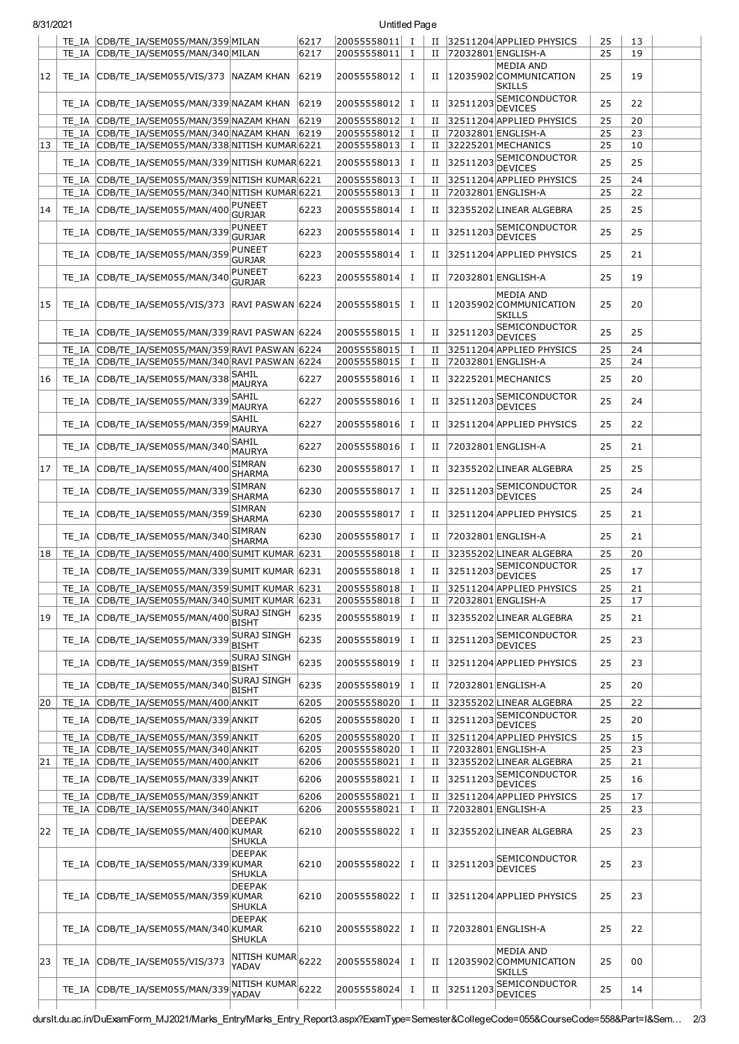| 8/31/2021 |       |                                                                                   |                                          |              | <b>Untitled Page</b>       |                |             |             |                                                             |          |          |  |
|-----------|-------|-----------------------------------------------------------------------------------|------------------------------------------|--------------|----------------------------|----------------|-------------|-------------|-------------------------------------------------------------|----------|----------|--|
|           |       | TE_IA CDB/TE_IA/SEM055/MAN/359 MILAN                                              |                                          | 6217         | $ 20055558011 $ I          |                |             |             | II 32511204 APPLIED PHYSICS                                 | 25       | 13       |  |
|           |       | TE IA CDB/TE IA/SEM055/MAN/340 MILAN                                              |                                          | 6217         | 20055558011                | $\bf{I}$       | П           |             | 72032801 ENGLISH-A                                          | 25       | 19       |  |
| 12        |       | TE_IA CDB/TE_IA/SEM055/VIS/373 NAZAM KHAN                                         |                                          | 6219         | 20055558012                | Ι.             | Н           |             | <b>MEDIA AND</b><br>12035902 COMMUNICATION<br><b>SKILLS</b> | 25       | 19       |  |
|           | TE IA | CDB/TE IA/SEM055/MAN/339 NAZAM KHAN                                               |                                          | 6219         | 20055558012                | Ι.             | П           | 32511203    | SEMICONDUCTOR                                               | 25       | 22       |  |
|           | TE IA | CDB/TE_IA/SEM055/MAN/359 NAZAM KHAN                                               |                                          | 6219         | 20055558012                | $\bf{I}$       | П           |             | <b>DEVICES</b><br>32511204 APPLIED PHYSICS                  | 25       | 20       |  |
|           |       | TE IA CDB/TE IA/SEM055/MAN/340 NAZAM KHAN                                         |                                          | 6219         | 20055558012                | $\bf{I}$       | П           |             | 72032801 ENGLISH-A                                          | 25       | 23       |  |
| 13        | TE IA | CDB/TE IA/SEM055/MAN/338 NITISH KUMAR 6221                                        |                                          |              | 20055558013                | Ι.             | П           |             | 32225201 MECHANICS                                          | 25       | 10       |  |
|           | TE IA | CDB/TE_IA/SEM055/MAN/339 NITISH_KUMAR 6221                                        |                                          |              | 20055558013                | Ι.             | П           |             | 32511203 SEMICONDUCTOR<br><b>DEVICES</b>                    | 25       | 25       |  |
|           | TE IA | CDB/TE IA/SEM055/MAN/359 NITISH KUMAR 6221                                        |                                          |              | 20055558013                | 1              | П           |             | 32511204 APPLIED PHYSICS                                    | 25       | 24       |  |
|           | TE IA | CDB/TE_IA/SEM055/MAN/340 NITISH KUMAR 6221                                        |                                          |              | 20055558013                | Ι              | П           |             | 72032801 ENGLISH-A                                          | 25       | 22       |  |
| 14        | TE IA | CDB/TE_IA/SEM055/MAN/400                                                          | PUNEET<br><b>GURJAR</b>                  | 6223         | 20055558014                | Ι              | П           |             | 32355202 LINEAR ALGEBRA                                     | 25       | 25       |  |
|           |       | TE_IA CDB/TE_IA/SEM055/MAN/339                                                    | <b>PUNEET</b><br><b>GURJAR</b>           | 6223         | 20055558014                | Ι.             | П           |             | 32511203 SEMICONDUCTOR<br><b>DEVICES</b>                    | 25       | 25       |  |
|           | TE IA | CDB/TE_IA/SEM055/MAN/359                                                          | <b>PUNEET</b><br><b>GURJAR</b>           | 6223         | 20055558014                | Ι.             | П           |             | 32511204 APPLIED PHYSICS                                    | 25       | 21       |  |
|           | TE IA | CDB/TE_IA/SEM055/MAN/340                                                          | <b>PUNEET</b><br><b>GURJAR</b>           | 6223         | 20055558014                | <b>I</b>       | н           |             | 72032801 ENGLISH-A                                          | 25       | 19       |  |
| 15        | TE IA | CDB/TE IA/SEM055/VIS/373                                                          | RAVI PASWAN 6224                         |              | 20055558015                | Ι              | П           |             | <b>MEDIA AND</b><br>12035902 COMMUNICATION<br><b>SKILLS</b> | 25       | 20       |  |
|           | TE IA | CDB/TE IA/SEM055/MAN/339 RAVI PASWAN 6224                                         |                                          |              | 20055558015                | 1              | П           |             | 32511203 SEMICONDUCTOR<br><b>DEVICES</b>                    | 25       | 25       |  |
|           | TE IA | CDB/TE IA/SEM055/MAN/359 RAVI PASWAN 6224                                         |                                          |              | 20055558015                | $\bf{I}$       | П           |             | 32511204 APPLIED PHYSICS                                    | 25       | 24       |  |
|           | TE IA | CDB/TE IA/SEM055/MAN/340 RAVI PASWAN 6224                                         |                                          |              | 20055558015                | 1              | П           |             | 72032801 ENGLISH-A                                          | 25       | 24       |  |
| 16        | TE IA | CDB/TE IA/SEM055/MAN/338                                                          | SAHIL<br>MAURYA                          | 6227         | 20055558016                | <b>I</b>       | П           |             | 32225201 MECHANICS                                          | 25       | 20       |  |
|           | TE IA | CDB/TE_IA/SEM055/MAN/339                                                          | SAHIL<br>MAURYA                          | 6227         | 20055558016                | Ι.             | П           | 32511203    | SEMICONDUCTOR<br><b>DEVICES</b>                             | 25       | 24       |  |
|           | TE IA | CDB/TE_IA/SEM055/MAN/359                                                          | <b>SAHIL</b><br>MAURYA                   | 6227         | 20055558016                | Ι.             | П           |             | 32511204 APPLIED PHYSICS                                    | 25       | 22       |  |
|           | TE IA | CDB/TE_IA/SEM055/MAN/340                                                          | <b>SAHIL</b><br><b>MAURYA</b>            | 6227         | 20055558016                | 1              | П           |             | 72032801 ENGLISH-A                                          | 25       | 21       |  |
| 17        | TE IA | CDB/TE_IA/SEM055/MAN/400                                                          | <b>SIMRAN</b><br><b>SHARMA</b>           | 6230         | 20055558017                | 1              | П           |             | 32355202 LINEAR ALGEBRA                                     | 25       | 25       |  |
|           | TE IA | CDB/TE_IA/SEM055/MAN/339                                                          | <b>SIMRAN</b><br><b>SHARMA</b>           | 6230         | 20055558017                | Ι.             | и           | 3251120     | <b>SEMICONDUCTOR</b><br><b>DEVICES</b>                      | 25       | 24       |  |
|           | TE IA | CDB/TE_IA/SEM055/MAN/359                                                          | <b>SIMRAN</b><br><b>SHARMA</b>           | 6230         | 20055558017                | 1              | П           |             | 32511204 APPLIED PHYSICS                                    | 25       | 21       |  |
|           | TE IA | CDB/TE_IA/SEM055/MAN/340                                                          | <b>SIMRAN</b><br><b>SHARMA</b>           | 6230         | 20055558017                | Ι.             | П           |             | 72032801 ENGLISH-A                                          | 25       | 21       |  |
| 18        |       | TE IA CDB/TE IA/SEM055/MAN/400 SUMIT KUMAR 6231                                   |                                          |              | 20055558018                | Ι.             | П           |             | 32355202LINEAR ALGEBRA                                      | 25       | 20       |  |
|           |       | TE IA CDB/TE IA/SEM055/MAN/339 SUMIT KUMAR 6231                                   |                                          |              | 20055558018                | $\mathbf{I}$   |             |             | II 32511203 SEMICONDUCTOR<br>DEVICES                        | 25       | 17       |  |
|           |       | TE IA CDB/TE IA/SEM055/MAN/359 SUMIT KUMAR 6231                                   |                                          |              | 20055558018                | $\mathbf{I}$   | П           |             | 32511204 APPLIED PHYSICS                                    | 25       | 21       |  |
| 19        |       | TE_IA CDB/TE_IA/SEM055/MAN/340 SUMIT KUMAR 6231<br>TE_IA CDB/TE_IA/SEM055/MAN/400 | <b>SURAJ SINGH</b>                       | 6235         | 20055558018<br>20055558019 | <b>I</b><br>Ι. | П<br>П      |             | 72032801 ENGLISH-A<br>32355202 LINEAR ALGEBRA               | 25<br>25 | 17<br>21 |  |
|           |       | TE_IA CDB/TE_IA/SEM055/MAN/339                                                    | <b>BISHT</b><br><b>SURAJ SINGH</b>       | 6235         | 20055558019                | $\bf{I}$       | П           | 32511203    | SEMICONDUCTOR                                               | 25       | 23       |  |
|           |       | TE IA CDB/TE IA/SEM055/MAN/359                                                    | <b>BISHT</b><br><b>SURAJ SINGH</b>       | 6235         | 20055558019                | $\bf{I}$       | П           |             | <b>DEVICES</b><br>32511204 APPLIED PHYSICS                  | 25       | 23       |  |
|           |       | TE IA CDB/TE IA/SEM055/MAN/340                                                    | <b>BISHT</b><br><b>SURAJ SINGH</b>       | 6235         | 20055558019                | I              | П           |             | 72032801 ENGLISH-A                                          | 25       | 20       |  |
|           |       |                                                                                   | <b>BISHT</b>                             |              |                            |                |             |             |                                                             |          |          |  |
| 20        |       | TE IA CDB/TE IA/SEM055/MAN/400 ANKIT                                              |                                          | 6205         | 20055558020                | Ι.             | П           |             | 32355202 LINEAR ALGEBRA                                     | 25       | 22       |  |
|           | TE IA | CDB/TE IA/SEM055/MAN/339 ANKIT                                                    |                                          | 6205         | 20055558020                | $\mathbf I$    | П           |             | 32511203 SEMICONDUCTOR<br><b>DEVICES</b>                    | 25       | 20       |  |
|           |       | TE_IA CDB/TE_IA/SEM055/MAN/359 ANKIT                                              |                                          | 6205         | 20055558020                | $\mathbf I$    | П           |             | 32511204 APPLIED PHYSICS                                    | 25       | 15       |  |
|           |       | TE_IA CDB/TE_IA/SEM055/MAN/340 ANKIT                                              |                                          | 6205         | 20055558020                | $\mathbf{I}$   | П           |             | 72032801 ENGLISH-A                                          | 25       | 23       |  |
| 21        |       | TE IA CDB/TE IA/SEM055/MAN/400 ANKIT<br>TE_IA CDB/TE_IA/SEM055/MAN/339 ANKIT      |                                          | 6206<br>6206 | 20055558021<br>20055558021 | Ι<br>Ι.        | П<br>П      |             | 32355202 LINEAR ALGEBRA<br>32511203 SEMICONDUCTOR           | 25<br>25 | 21<br>16 |  |
|           |       |                                                                                   |                                          |              |                            |                |             |             | <b>DEVICES</b>                                              |          |          |  |
|           |       | TE_IA CDB/TE_IA/SEM055/MAN/359 ANKIT<br>TE_IA CDB/TE_IA/SEM055/MAN/340 ANKIT      |                                          | 6206<br>6206 | 20055558021<br>20055558021 | Ι<br>$\bf{I}$  | П<br>П      |             | 32511204 APPLIED PHYSICS<br>72032801 ENGLISH-A              | 25<br>25 | 17<br>23 |  |
| 22        |       | TE_IA CDB/TE_IA/SEM055/MAN/400 KUMAR                                              | <b>DEEPAK</b><br><b>SHUKLA</b>           | 6210         | 20055558022                | <b>I</b>       | П           |             | 32355202LINEAR ALGEBRA                                      | 25       | 23       |  |
|           |       | TE_IA CDB/TE_IA/SEM055/MAN/339 KUMAR                                              | <b>DEEPAK</b>                            | 6210         | 20055558022                | Ι.             | П           |             | 32511203 SEMICONDUCTOR<br><b>DEVICES</b>                    | 25       | 23       |  |
|           |       | TE_IA CDB/TE_IA/SEM055/MAN/359 KUMAR                                              | SHUKLA<br><b>DEEPAK</b><br><b>SHUKLA</b> | 6210         | 20055558022                | Ι.             | П           |             | 32511204 APPLIED PHYSICS                                    | 25       | 23       |  |
|           | TE IA | CDB/TE_IA/SEM055/MAN/340 KUMAR                                                    | <b>DEEPAK</b><br><b>SHUKLA</b>           | 6210         | 20055558022                | Ι.             | П           |             | 72032801 ENGLISH-A                                          | 25       | 22       |  |
| 23        |       | TE_IA CDB/TE_IA/SEM055/VIS/373                                                    | NITISH KUMAR 6222<br>YADAV               |              | 20055558024                | Ι.             | $_{\rm II}$ |             | <b>MEDIA AND</b><br>12035902 COMMUNICATION<br><b>SKILLS</b> | 25       | 00       |  |
|           |       | TE_IA CDB/TE_IA/SEM055/MAN/339                                                    | NITISH KUMAR 6222<br>YADAV               |              | 20055558024                | $\bf{I}$       |             | II 32511203 | <b>SEMICONDUCTOR</b><br><b>DEVICES</b>                      | 25       | 14       |  |

durslt.du.ac.in/DuExamForm\_MJ2021/Marks\_Entry/Marks\_Entry\_Report3.aspx?ExamType=Semester&CollegeCode=055&CourseCode=558&Part=I&Sem… 2/3